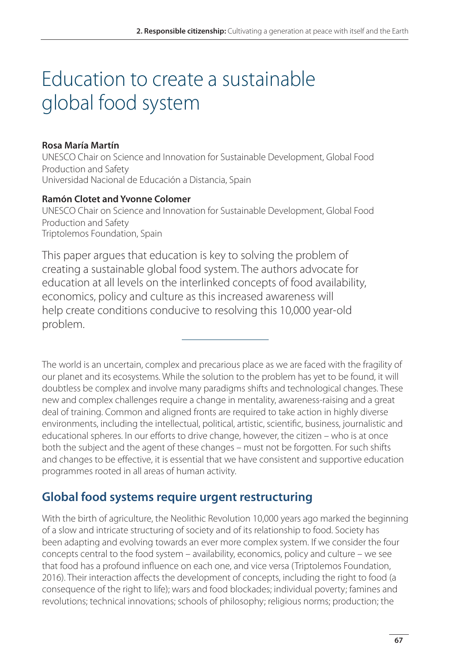# Education to create a sustainable global food system

### **Rosa María Martín**

UNESCO Chair on Science and Innovation for Sustainable Development, Global Food Production and Safety Universidad Nacional de Educación a Distancia, Spain

#### **Ramón Clotet and Yvonne Colomer**

UNESCO Chair on Science and Innovation for Sustainable Development, Global Food Production and Safety Triptolemos Foundation, Spain

This paper argues that education is key to solving the problem of creating a sustainable global food system. The authors advocate for education at all levels on the interlinked concepts of food availability, economics, policy and culture as this increased awareness will help create conditions conducive to resolving this 10,000 year-old problem.

The world is an uncertain, complex and precarious place as we are faced with the fragility of our planet and its ecosystems. While the solution to the problem has yet to be found, it will doubtless be complex and involve many paradigms shifts and technological changes. These new and complex challenges require a change in mentality, awareness-raising and a great deal of training. Common and aligned fronts are required to take action in highly diverse environments, including the intellectual, political, artistic, scientific, business, journalistic and educational spheres. In our efforts to drive change, however, the citizen – who is at once both the subject and the agent of these changes – must not be forgotten. For such shifts and changes to be effective, it is essential that we have consistent and supportive education programmes rooted in all areas of human activity.

# **Global food systems require urgent restructuring**

With the birth of agriculture, the Neolithic Revolution 10,000 years ago marked the beginning of a slow and intricate structuring of society and of its relationship to food. Society has been adapting and evolving towards an ever more complex system. If we consider the four concepts central to the food system – availability, economics, policy and culture – we see that food has a profound influence on each one, and vice versa (Triptolemos Foundation, 2016). Their interaction affects the development of concepts, including the right to food (a consequence of the right to life); wars and food blockades; individual poverty; famines and revolutions; technical innovations; schools of philosophy; religious norms; production; the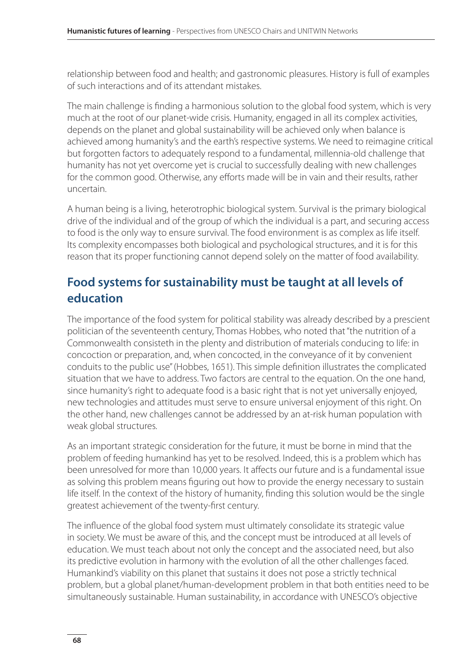relationship between food and health; and gastronomic pleasures. History is full of examples of such interactions and of its attendant mistakes.

The main challenge is finding a harmonious solution to the global food system, which is very much at the root of our planet-wide crisis. Humanity, engaged in all its complex activities, depends on the planet and global sustainability will be achieved only when balance is achieved among humanity's and the earth's respective systems. We need to reimagine critical but forgotten factors to adequately respond to a fundamental, millennia-old challenge that humanity has not yet overcome yet is crucial to successfully dealing with new challenges for the common good. Otherwise, any efforts made will be in vain and their results, rather uncertain.

A human being is a living, heterotrophic biological system. Survival is the primary biological drive of the individual and of the group of which the individual is a part, and securing access to food is the only way to ensure survival. The food environment is as complex as life itself. Its complexity encompasses both biological and psychological structures, and it is for this reason that its proper functioning cannot depend solely on the matter of food availability.

## **Food systems for sustainability must be taught at all levels of education**

The importance of the food system for political stability was already described by a prescient politician of the seventeenth century, Thomas Hobbes, who noted that "the nutrition of a Commonwealth consisteth in the plenty and distribution of materials conducing to life: in concoction or preparation, and, when concocted, in the conveyance of it by convenient conduits to the public use" (Hobbes, 1651). This simple definition illustrates the complicated situation that we have to address. Two factors are central to the equation. On the one hand, since humanity's right to adequate food is a basic right that is not yet universally enjoyed, new technologies and attitudes must serve to ensure universal enjoyment of this right. On the other hand, new challenges cannot be addressed by an at-risk human population with weak global structures.

As an important strategic consideration for the future, it must be borne in mind that the problem of feeding humankind has yet to be resolved. Indeed, this is a problem which has been unresolved for more than 10,000 years. It affects our future and is a fundamental issue as solving this problem means figuring out how to provide the energy necessary to sustain life itself. In the context of the history of humanity, finding this solution would be the single greatest achievement of the twenty-first century.

The influence of the global food system must ultimately consolidate its strategic value in society. We must be aware of this, and the concept must be introduced at all levels of education. We must teach about not only the concept and the associated need, but also its predictive evolution in harmony with the evolution of all the other challenges faced. Humankind's viability on this planet that sustains it does not pose a strictly technical problem, but a global planet/human-development problem in that both entities need to be simultaneously sustainable. Human sustainability, in accordance with UNESCO's objective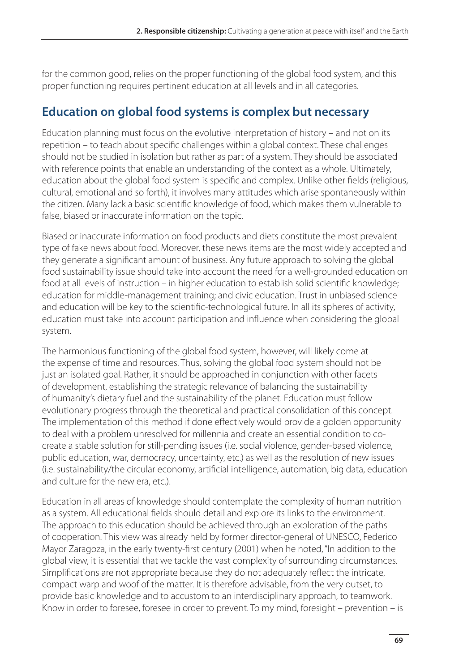for the common good, relies on the proper functioning of the global food system, and this proper functioning requires pertinent education at all levels and in all categories.

# **Education on global food systems is complex but necessary**

Education planning must focus on the evolutive interpretation of history – and not on its repetition – to teach about specific challenges within a global context. These challenges should not be studied in isolation but rather as part of a system. They should be associated with reference points that enable an understanding of the context as a whole. Ultimately, education about the global food system is specific and complex. Unlike other fields (religious, cultural, emotional and so forth), it involves many attitudes which arise spontaneously within the citizen. Many lack a basic scientific knowledge of food, which makes them vulnerable to false, biased or inaccurate information on the topic.

Biased or inaccurate information on food products and diets constitute the most prevalent type of fake news about food. Moreover, these news items are the most widely accepted and they generate a significant amount of business. Any future approach to solving the global food sustainability issue should take into account the need for a well-grounded education on food at all levels of instruction – in higher education to establish solid scientific knowledge; education for middle-management training; and civic education. Trust in unbiased science and education will be key to the scientific-technological future. In all its spheres of activity, education must take into account participation and influence when considering the global system.

The harmonious functioning of the global food system, however, will likely come at the expense of time and resources. Thus, solving the global food system should not be just an isolated goal. Rather, it should be approached in conjunction with other facets of development, establishing the strategic relevance of balancing the sustainability of humanity's dietary fuel and the sustainability of the planet. Education must follow evolutionary progress through the theoretical and practical consolidation of this concept. The implementation of this method if done effectively would provide a golden opportunity to deal with a problem unresolved for millennia and create an essential condition to cocreate a stable solution for still-pending issues (i.e. social violence, gender-based violence, public education, war, democracy, uncertainty, etc.) as well as the resolution of new issues (i.e. sustainability/the circular economy, artificial intelligence, automation, big data, education and culture for the new era, etc.).

Education in all areas of knowledge should contemplate the complexity of human nutrition as a system. All educational fields should detail and explore its links to the environment. The approach to this education should be achieved through an exploration of the paths of cooperation. This view was already held by former director-general of UNESCO, Federico Mayor Zaragoza, in the early twenty-first century (2001) when he noted, "In addition to the global view, it is essential that we tackle the vast complexity of surrounding circumstances. Simplifications are not appropriate because they do not adequately reflect the intricate, compact warp and woof of the matter. It is therefore advisable, from the very outset, to provide basic knowledge and to accustom to an interdisciplinary approach, to teamwork. Know in order to foresee, foresee in order to prevent. To my mind, foresight – prevention – is